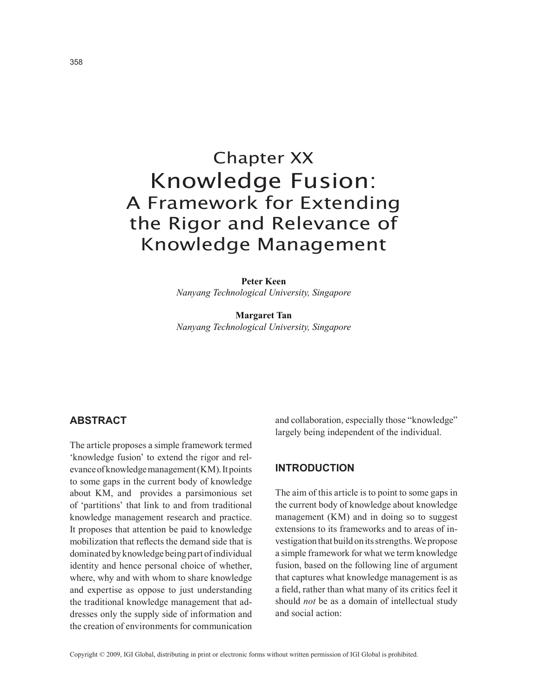# Chapter XX Knowledge Fusion: A Framework for Extending the Rigor and Relevance of Knowledge Management

**Peter Keen**

*Nanyang Technological University, Singapore*

**Margaret Tan** *Nanyang Technological University, Singapore*

# **absTracT**

The article proposes a simple framework termed 'knowledge fusion' to extend the rigor and relevance of knowledge management (KM). It points to some gaps in the current body of knowledge about KM, and provides a parsimonious set of 'partitions' that link to and from traditional knowledge management research and practice. It proposes that attention be paid to knowledge mobilization that reflects the demand side that is dominated by knowledge being part of individual identity and hence personal choice of whether, where, why and with whom to share knowledge and expertise as oppose to just understanding the traditional knowledge management that addresses only the supply side of information and the creation of environments for communication

and collaboration, especially those "knowledge" largely being independent of the individual.

#### **InTroDucTIon**

The aim of this article is to point to some gaps in the current body of knowledge about knowledge management (KM) and in doing so to suggest extensions to its frameworks and to areas of investigation that build on its strengths. We propose a simple framework for what we term knowledge fusion, based on the following line of argument that captures what knowledge management is as a field, rather than what many of its critics feel it should *not* be as a domain of intellectual study and social action: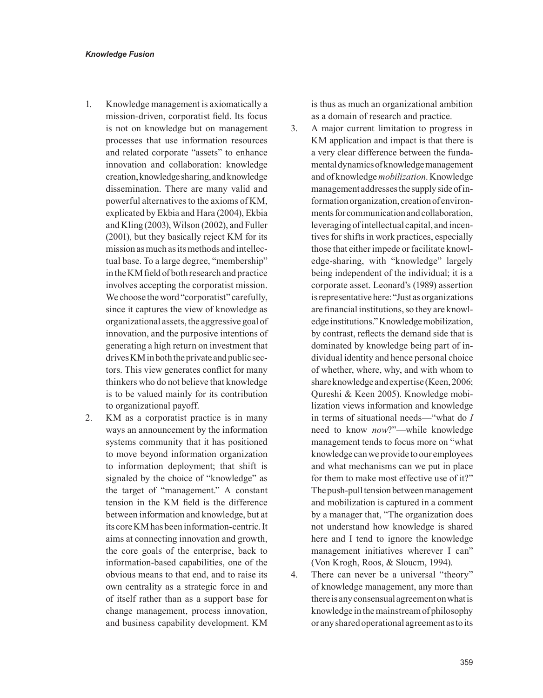- 1. Knowledge management is axiomatically a mission-driven, corporatist field. Its focus is not on knowledge but on management processes that use information resources and related corporate "assets" to enhance innovation and collaboration: knowledge creation, knowledge sharing, and knowledge dissemination. There are many valid and powerful alternatives to the axioms of KM, explicated by Ekbia and Hara (2004), Ekbia and Kling (2003), Wilson (2002), and Fuller (2001), but they basically reject KM for its mission as much as its methods and intellectual base. To a large degree, "membership" in the KM field of both research and practice involves accepting the corporatist mission. We choose the word "corporatist" carefully, since it captures the view of knowledge as organizational assets, the aggressive goal of innovation, and the purposive intentions of generating a high return on investment that drives KM in both the private and public sectors. This view generates conflict for many thinkers who do not believe that knowledge is to be valued mainly for its contribution to organizational payoff.
- 2. KM as a corporatist practice is in many ways an announcement by the information systems community that it has positioned to move beyond information organization to information deployment; that shift is signaled by the choice of "knowledge" as the target of "management." A constant tension in the KM field is the difference between information and knowledge, but at its core KM has been information-centric. It aims at connecting innovation and growth, the core goals of the enterprise, back to information-based capabilities, one of the obvious means to that end, and to raise its own centrality as a strategic force in and of itself rather than as a support base for change management, process innovation, and business capability development. KM

is thus as much an organizational ambition as a domain of research and practice.

- 3. A major current limitation to progress in KM application and impact is that there is a very clear difference between the fundamental dynamics of knowledge management and of knowledge *mobilization*. Knowledge management addresses the supply side of information organization, creation of environments for communication and collaboration, leveraging of intellectual capital, and incentives for shifts in work practices, especially those that either impede or facilitate knowledge-sharing, with "knowledge" largely being independent of the individual; it is a corporate asset. Leonard's (1989) assertion is representative here: "Just as organizations are financial institutions, so they are knowledge institutions." Knowledge mobilization, by contrast, reflects the demand side that is dominated by knowledge being part of individual identity and hence personal choice of whether, where, why, and with whom to share knowledge and expertise (Keen, 2006; Qureshi & Keen 2005). Knowledge mobilization views information and knowledge in terms of situational needs—"what do *I* need to know *now*?"—while knowledge management tends to focus more on "what knowledge can we provide to our employees and what mechanisms can we put in place for them to make most effective use of it?" The push-pull tension between management and mobilization is captured in a comment by a manager that, "The organization does not understand how knowledge is shared here and I tend to ignore the knowledge management initiatives wherever I can" (Von Krogh, Roos, & Sloucm, 1994).
- 4. There can never be a universal "theory" of knowledge management, any more than there is any consensual agreement on what is knowledge in the mainstream of philosophy or any shared operational agreement as to its